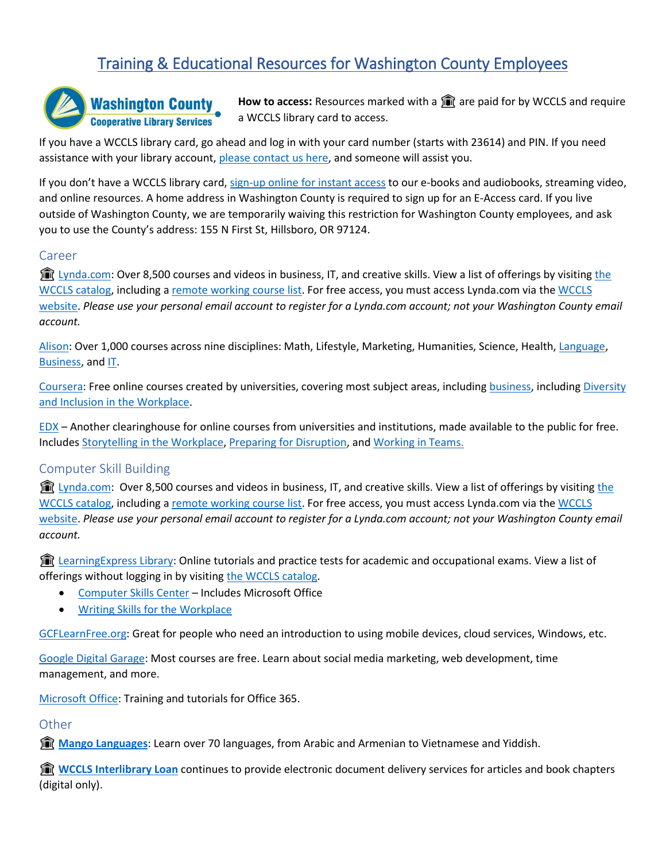# Training & Educational Resources for Washington County Employees



How to access: Resources marked with a **for** are paid for by WCCLS and require a WCCLS library card to access.

If you have a WCCLS library card, go ahead and log in with your card number (starts with 23614) and PIN. If you need assistance with your library account, [please contact us here,](https://www.wccls.org/cataloghelp) and someone will assist you.

If you don't have a WCCLS library card[, sign-up online for instant access](https://www.wccls.org/online-card) to our e-books and audiobooks, streaming video, and online resources. A home address in Washington County is required to sign up for an E-Access card. If you live outside of Washington County, we are temporarily waiving this restriction for Washington County employees, and ask you to use the County's address: 155 N First St, Hillsboro, OR 97124.

#### Career

**The [Lynda.com:](https://www.wccls.org/lynda)** Over 8,500 courses and videos in business, IT, and creative skills. View a list of offerings by visiting the [WCCLS catalog,](https://wccls.bibliocommons.com/v2/search?query=lynda.com&searchType=smart) including a [remote working course list.](https://www.lynda.com/learning-paths/Business/remote-working-setting-yourself-and-your-teams-up-for-success) For free access, you must access Lynda.com via the [WCCLS](https://wccls76.sharepoint.com/teams/WCCLSILSTECHSERVICES/Shared%20Documents/General/wccls.org)  [website.](https://wccls76.sharepoint.com/teams/WCCLSILSTECHSERVICES/Shared%20Documents/General/wccls.org) *Please use your personal email account to register for a Lynda.com account; not your Washington County email account.*

[Alison:](https://alison.com/courses) Over 1,000 courses across nine disciplines: Math, Lifestyle, Marketing, Humanities, Science, Health, [Language,](https://alison.com/courses/language) [Business,](https://alison.com/courses/business) and [IT.](https://alison.com/courses/it)

[Coursera:](https://www.coursera.org/) Free online courses created by universities, covering most subject areas, including [business,](https://www.coursera.org/browse/business) includin[g Diversity](https://www.coursera.org/learn/diversity-inclusion-workplace)  [and Inclusion in the Workplace.](https://www.coursera.org/learn/diversity-inclusion-workplace)

[EDX](https://www.edx.org/) – Another clearinghouse for online courses from universities and institutions, made available to the public for free. Include[s Storytelling in the Workplace,](https://www.edx.org/course/storytelling-in-the-workplace) [Preparing for Disruption,](https://www.edx.org/course/the-future-of-work-preparing-for-disruption-2) and [Working in Teams.](https://www.edx.org/course/working-in-teams-a-practical-guide)

# Computer Skill Building

fill [Lynda.com:](https://www.wccls.org/lynda) Over 8,500 courses and videos in business, IT, and creative skills. View a list of offerings by visiting the [WCCLS catalog,](https://wccls.bibliocommons.com/v2/search?query=lynda.com&searchType=smart) including a [remote working course list.](https://www.lynda.com/learning-paths/Business/remote-working-setting-yourself-and-your-teams-up-for-success) For free access, you must access Lynda.com via the [WCCLS](https://wccls76.sharepoint.com/teams/WCCLSILSTECHSERVICES/Shared%20Documents/General/wccls.org)  [website.](https://wccls76.sharepoint.com/teams/WCCLSILSTECHSERVICES/Shared%20Documents/General/wccls.org) *Please use your personal email account to register for a Lynda.com account; not your Washington County email account.*

**To Learning Express Library:** Online tutorials and practice tests for academic and occupational exams. View a list of offerings without logging in by visiting [the WCCLS catalog.](https://wccls.bibliocommons.com/v2/search?query=learningexpress&searchType=smart)

- [Computer Skills Center](https://www-learningexpresshub-com.wccls.idm.oclc.org/ProductEngine/LELIndex.html#/learningexpresslibrary/libraryhome?AuthToken=A0EC2391-C9EF-412E-B38C-7160749BC59B) Includes Microsoft Office
- [Writing Skills for the Workplace](https://www-learningexpresshub-com.wccls.idm.oclc.org/productengine/index.html#/learningexpresslibrary/adult-learning-center/startCourse/ff3e73c7-841e-47af-9b6d-248fcd6f3a27)

[GCFLearnFree.org:](https://edu.gcfglobal.org/) Great for people who need an introduction to using mobile devices, cloud services, Windows, etc.

[Google Digital Garage:](https://learndigital.withgoogle.com/digitalgarage) Most courses are free. Learn about social media marketing, web development, time management, and more.

[Microsoft Office:](https://support.office.com/) Training and tutorials for Office 365.

# **Other**

**[Mango Languages](https://www.wccls.org/research/mango-languages)**: Learn over 70 languages, from Arabic and Armenian to Vietnamese and Yiddish.

**Transform Interlibrary Loan** continues to provide electronic document delivery services for articles and book chapters (digital only).